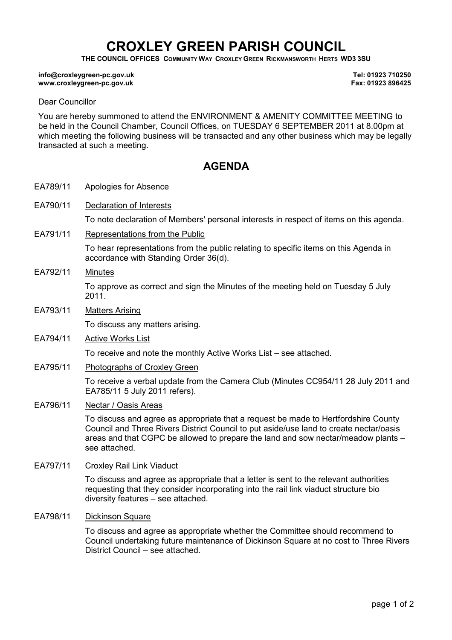## CROXLEY GREEN PARISH COUNCIL

THE COUNCIL OFFICES COMMUNITY WAY CROXLEY GREEN RICKMANSWORTH HERTS WD3 3SU

## info@croxleygreen-pc.gov.uk www.croxleygreen-pc.gov.uk

Tel: 01923 710250 Fax: 01923 896425

## Dear Councillor

You are hereby summoned to attend the ENVIRONMENT & AMENITY COMMITTEE MEETING to be held in the Council Chamber, Council Offices, on TUESDAY 6 SEPTEMBER 2011 at 8.00pm at which meeting the following business will be transacted and any other business which may be legally transacted at such a meeting.

## **AGENDA**

- EA789/11 Apologies for Absence
- EA790/11 Declaration of Interests

To note declaration of Members' personal interests in respect of items on this agenda.

EA791/11 Representations from the Public

To hear representations from the public relating to specific items on this Agenda in accordance with Standing Order 36(d).

- EA792/11 Minutes To approve as correct and sign the Minutes of the meeting held on Tuesday 5 July 2011.
- EA793/11 Matters Arising

To discuss any matters arising.

EA794/11 Active Works List

To receive and note the monthly Active Works List – see attached.

EA795/11 Photographs of Croxley Green

To receive a verbal update from the Camera Club (Minutes CC954/11 28 July 2011 and EA785/11 5 July 2011 refers).

EA796/11 Nectar / Oasis Areas

To discuss and agree as appropriate that a request be made to Hertfordshire County Council and Three Rivers District Council to put aside/use land to create nectar/oasis areas and that CGPC be allowed to prepare the land and sow nectar/meadow plants – see attached.

EA797/11 Croxley Rail Link Viaduct

To discuss and agree as appropriate that a letter is sent to the relevant authorities requesting that they consider incorporating into the rail link viaduct structure bio diversity features – see attached.

EA798/11 Dickinson Square

To discuss and agree as appropriate whether the Committee should recommend to Council undertaking future maintenance of Dickinson Square at no cost to Three Rivers District Council – see attached.